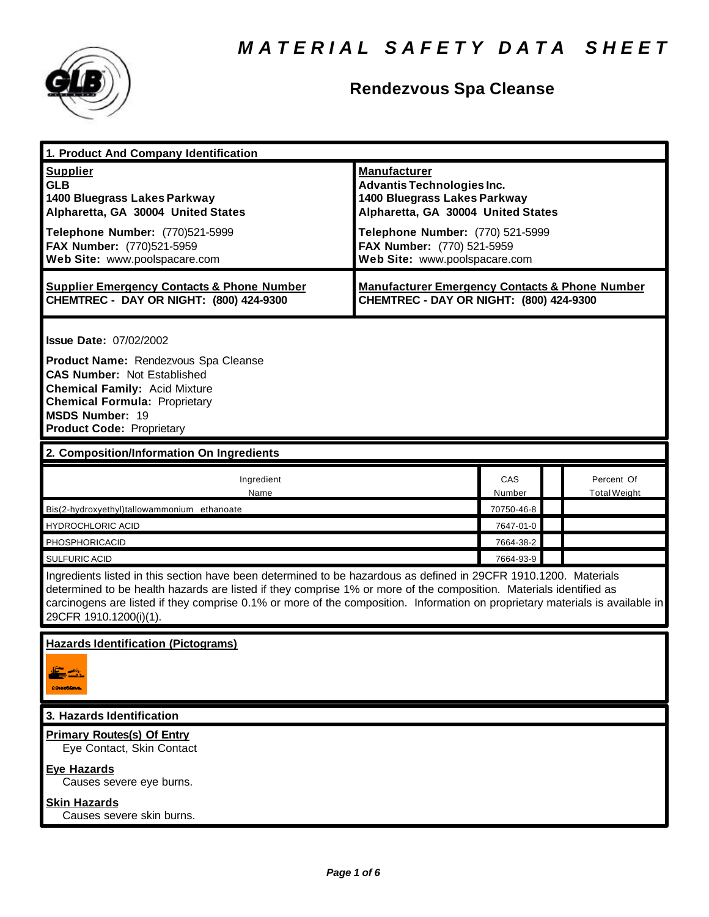

# **Rendezvous Spa Cleanse**

| 1. Product And Company Identification                                                                                                                                                                                                                                                                                                                                                             |                                                                                                                                                                                                                                   |                      |                                   |  |
|---------------------------------------------------------------------------------------------------------------------------------------------------------------------------------------------------------------------------------------------------------------------------------------------------------------------------------------------------------------------------------------------------|-----------------------------------------------------------------------------------------------------------------------------------------------------------------------------------------------------------------------------------|----------------------|-----------------------------------|--|
| <b>Supplier</b><br><b>GLB</b><br>1400 Bluegrass Lakes Parkway<br>Alpharetta, GA 30004 United States<br>Telephone Number: (770)521-5999<br>FAX Number: (770)521-5959<br>Web Site: www.poolspacare.com                                                                                                                                                                                              | <b>Manufacturer</b><br><b>Advantis Technologies Inc.</b><br>1400 Bluegrass Lakes Parkway<br>Alpharetta, GA 30004 United States<br>Telephone Number: (770) 521-5999<br>FAX Number: (770) 521-5959<br>Web Site: www.poolspacare.com |                      |                                   |  |
| <b>Supplier Emergency Contacts &amp; Phone Number</b><br>CHEMTREC - DAY OR NIGHT: (800) 424-9300                                                                                                                                                                                                                                                                                                  | <b>Manufacturer Emergency Contacts &amp; Phone Number</b><br>CHEMTREC - DAY OR NIGHT: (800) 424-9300                                                                                                                              |                      |                                   |  |
| <b>Issue Date: 07/02/2002</b><br>Product Name: Rendezvous Spa Cleanse<br><b>CAS Number: Not Established</b><br><b>Chemical Family: Acid Mixture</b><br><b>Chemical Formula: Proprietary</b><br><b>MSDS Number: 19</b><br><b>Product Code: Proprietary</b>                                                                                                                                         |                                                                                                                                                                                                                                   |                      |                                   |  |
| 2. Composition/Information On Ingredients                                                                                                                                                                                                                                                                                                                                                         |                                                                                                                                                                                                                                   |                      |                                   |  |
| Ingredient<br>Name                                                                                                                                                                                                                                                                                                                                                                                |                                                                                                                                                                                                                                   | <b>CAS</b><br>Number | Percent Of<br><b>Total Weight</b> |  |
| Bis(2-hydroxyethyl)tallowammonium ethanoate                                                                                                                                                                                                                                                                                                                                                       |                                                                                                                                                                                                                                   | 70750-46-8           |                                   |  |
| <b>HYDROCHLORIC ACID</b>                                                                                                                                                                                                                                                                                                                                                                          |                                                                                                                                                                                                                                   | 7647-01-0            |                                   |  |
| PHOSPHORICACID                                                                                                                                                                                                                                                                                                                                                                                    |                                                                                                                                                                                                                                   | 7664-38-2            |                                   |  |
| SULFURIC ACID                                                                                                                                                                                                                                                                                                                                                                                     |                                                                                                                                                                                                                                   | 7664-93-9            |                                   |  |
| Ingredients listed in this section have been determined to be hazardous as defined in 29CFR 1910.1200. Materials<br>determined to be health hazards are listed if they comprise 1% or more of the composition. Materials identified as<br>carcinogens are listed if they comprise 0.1% or more of the composition. Information on proprietary materials is available in<br>29CFR 1910.1200(i)(1). |                                                                                                                                                                                                                                   |                      |                                   |  |
| <b>Hazards Identification (Pictograms)</b><br>: Notablavn                                                                                                                                                                                                                                                                                                                                         |                                                                                                                                                                                                                                   |                      |                                   |  |
| 3. Hazards Identification                                                                                                                                                                                                                                                                                                                                                                         |                                                                                                                                                                                                                                   |                      |                                   |  |
| <b>Primary Routes(s) Of Entry</b><br>Eye Contact, Skin Contact                                                                                                                                                                                                                                                                                                                                    |                                                                                                                                                                                                                                   |                      |                                   |  |
| <b>Eye Hazards</b><br>Causes severe eye burns.                                                                                                                                                                                                                                                                                                                                                    |                                                                                                                                                                                                                                   |                      |                                   |  |
| <b>Skin Hazards</b><br>Causes severe skin burns.                                                                                                                                                                                                                                                                                                                                                  |                                                                                                                                                                                                                                   |                      |                                   |  |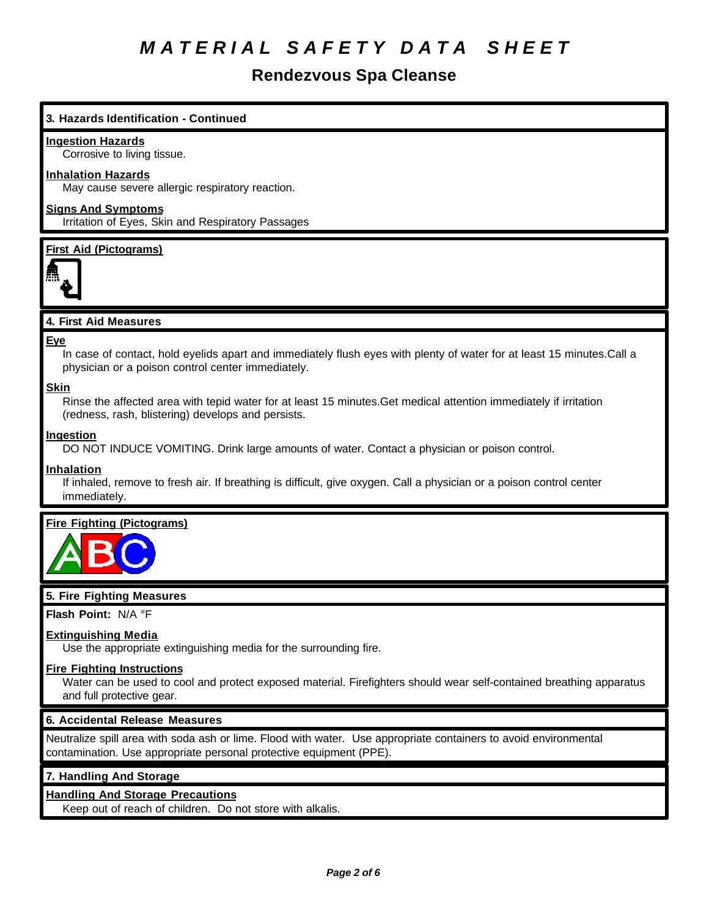# **Rendezvous Spa Cleanse**

## **3. Hazards Identification - Continued**

#### **Ingestion Hazards**

Corrosive to living tissue.

#### **Inhalation Hazards**

May cause severe allergic respiratory reaction.

## **Signs And Symptoms**

Irritation of Eyes, Skin and Respiratory Passages

#### **First Aid (Pictograms)**



## **4. First Aid Measures**

#### **Eye**

In case of contact, hold eyelids apart and immediately flush eyes with plenty of water for at least 15 minutes.Call a physician or a poison control center immediately.

### **Skin**

Rinse the affected area with tepid water for at least 15 minutes.Get medical attention immediately if irritation (redness, rash, blistering) develops and persists.

#### **Ingestion**

DO NOT INDUCE VOMITING. Drink large amounts of water. Contact a physician or poison control.

#### **Inhalation**

If inhaled, remove to fresh air. If breathing is difficult, give oxygen. Call a physician or a poison control center immediately.

## **Fire Fighting (Pictograms)**



## **5. Fire Fighting Measures**

**Flash Point:** N/A °F

#### **Extinguishing Media**

Use the appropriate extinguishing media for the surrounding fire.

#### **Fire Fighting Instructions**

Water can be used to cool and protect exposed material. Firefighters should wear self-contained breathing apparatus and full protective gear.

#### **6. Accidental Release Measures**

Neutralize spill area with soda ash or lime. Flood with water. Use appropriate containers to avoid environmental contamination. Use appropriate personal protective equipment (PPE).

## **7. Handling And Storage**

## **Handling And Storage Precautions**

Keep out of reach of children. Do not store with alkalis.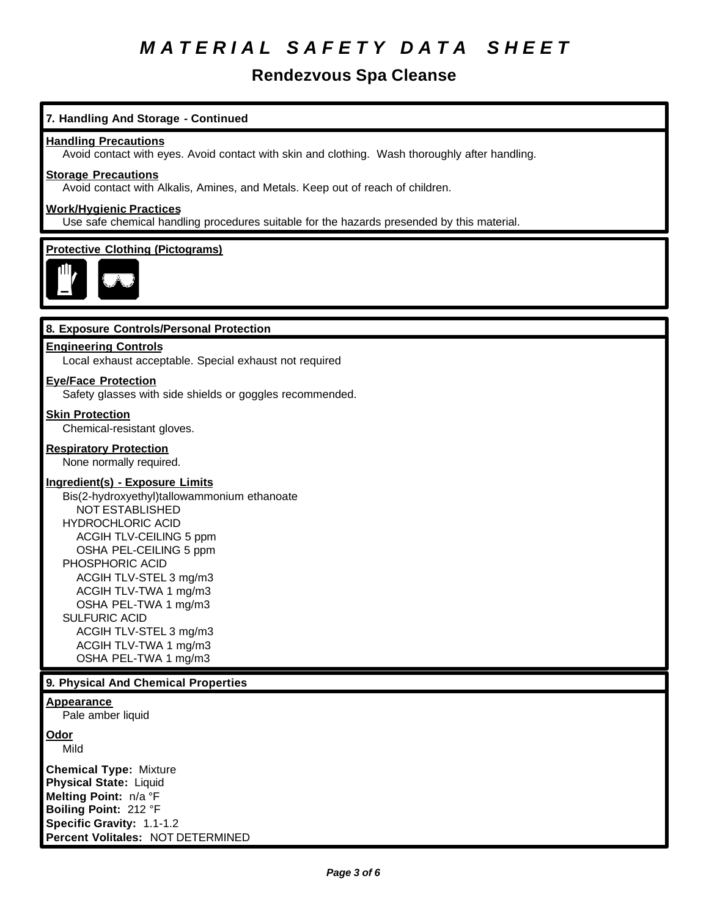# **Rendezvous Spa Cleanse**

## **7. Handling And Storage - Continued**

#### **Handling Precautions**

Avoid contact with eyes. Avoid contact with skin and clothing. Wash thoroughly after handling.

#### **Storage Precautions**

Avoid contact with Alkalis, Amines, and Metals. Keep out of reach of children.

## **Work/Hygienic Practices**

Use safe chemical handling procedures suitable for the hazards presended by this material.

#### **Protective Clothing (Pictograms)**



#### **8. Exposure Controls/Personal Protection**

### **Engineering Controls**

Local exhaust acceptable. Special exhaust not required

#### **Eye/Face Protection**

Safety glasses with side shields or goggles recommended.

#### **Skin Protection**

Chemical-resistant gloves.

#### **Respiratory Protection**

None normally required.

#### **Ingredient(s) - Exposure Limits**

Bis(2-hydroxyethyl)tallowammonium ethanoate NOT ESTABLISHED HYDROCHLORIC ACID ACGIH TLV-CEILING 5 ppm OSHA PEL-CEILING 5 ppm PHOSPHORIC ACID ACGIH TLV-STEL 3 mg/m3 ACGIH TLV-TWA 1 mg/m3 OSHA PEL-TWA 1 mg/m3 SULFURIC ACID ACGIH TLV-STEL 3 mg/m3 ACGIH TLV-TWA 1 mg/m3 OSHA PEL-TWA 1 mg/m3

#### **9. Physical And Chemical Properties**

#### **Appearance**

Pale amber liquid

#### **Odor**

Mild

**Chemical Type:** Mixture **Physical State:** Liquid **Melting Point:** n/a °F **Boiling Point:** 212 °F **Specific Gravity:** 1.1-1.2 **Percent Volitales:** NOT DETERMINED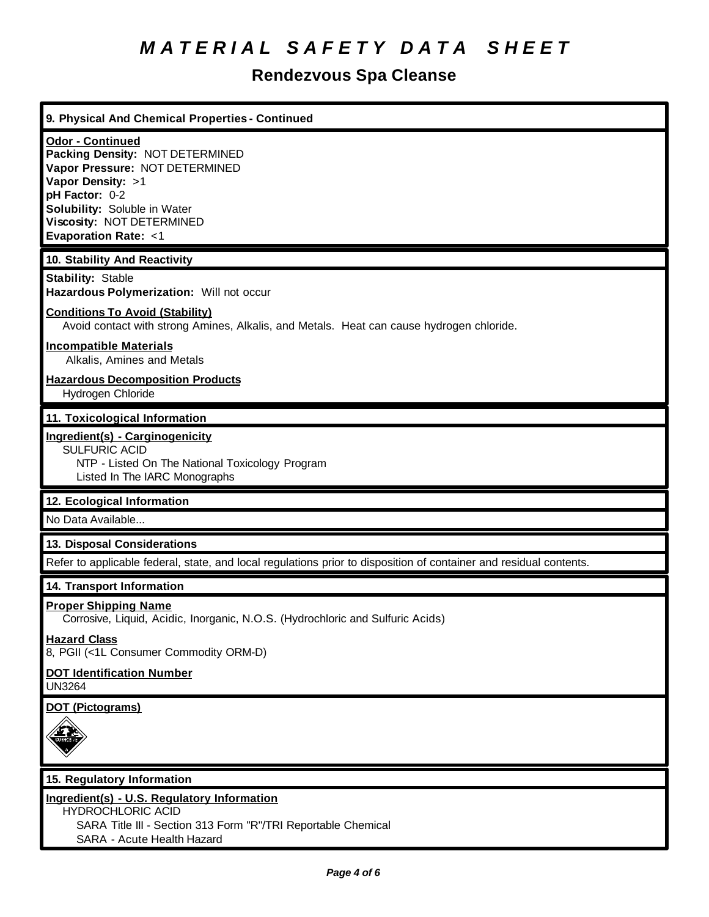# **Rendezvous Spa Cleanse**

# **9. Physical And Chemical Properties - Continued Odor - Continued Packing Density:** NOT DETERMINED **Vapor Pressure:** NOT DETERMINED **Vapor Density:** >1 **pH Factor:** 0-2 **Solubility:** Soluble in Water **Viscosity:** NOT DETERMINED **Evaporation Rate:** <1 **10. Stability And Reactivity Stability:** Stable **Hazardous Polymerization:** Will not occur **Conditions To Avoid (Stability)** Avoid contact with strong Amines, Alkalis, and Metals. Heat can cause hydrogen chloride. **Incompatible Materials** Alkalis, Amines and Metals **Hazardous Decomposition Products** Hydrogen Chloride **11. Toxicological Information Ingredient(s) - Carginogenicity** SULFURIC ACID NTP - Listed On The National Toxicology Program Listed In The IARC Monographs **12. Ecological Information** No Data Available... **13. Disposal Considerations** Refer to applicable federal, state, and local regulations prior to disposition of container and residual contents. **14. Transport Information Proper Shipping Name** Corrosive, Liquid, Acidic, Inorganic, N.O.S. (Hydrochloric and Sulfuric Acids) **Hazard Class** 8, PGII (<1L Consumer Commodity ORM-D) **DOT Identification Number** UN3264 **DOT (Pictograms) 15. Regulatory Information Ingredient(s) - U.S. Regulatory Information** HYDROCHLORIC ACID SARA Title III - Section 313 Form "R"/TRI Reportable Chemical SARA - Acute Health Hazard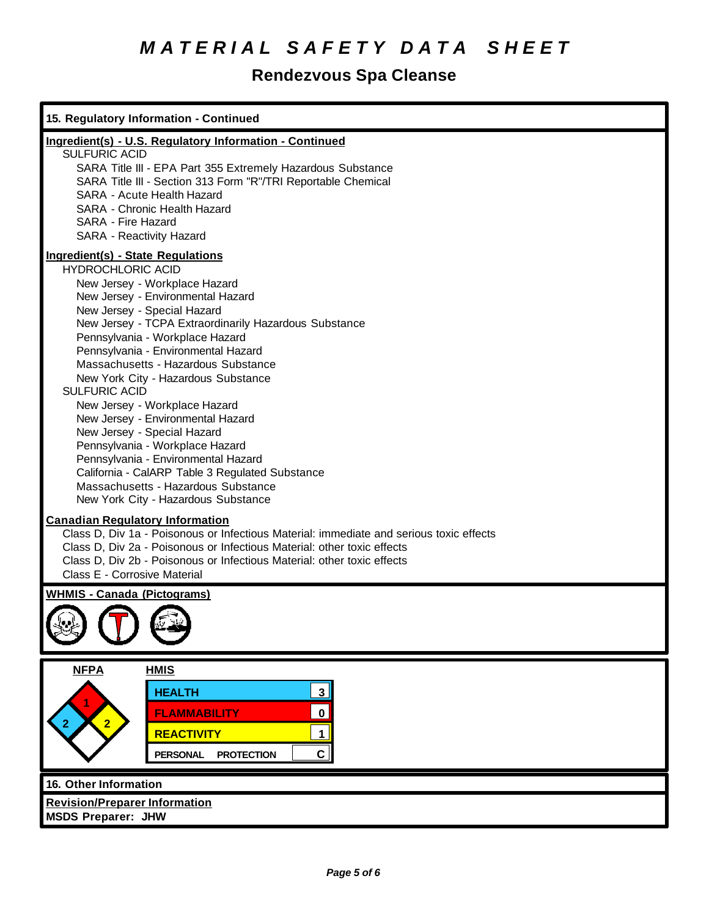# **Rendezvous Spa Cleanse**

| 15. Regulatory Information - Continued                                                                                                                                                                                                                                                                                                                                                                                                                                                                                                                                                                                                                                                                                             |
|------------------------------------------------------------------------------------------------------------------------------------------------------------------------------------------------------------------------------------------------------------------------------------------------------------------------------------------------------------------------------------------------------------------------------------------------------------------------------------------------------------------------------------------------------------------------------------------------------------------------------------------------------------------------------------------------------------------------------------|
| Ingredient(s) - U.S. Regulatory Information - Continued<br><b>SULFURIC ACID</b><br>SARA Title III - EPA Part 355 Extremely Hazardous Substance<br>SARA Title III - Section 313 Form "R"/TRI Reportable Chemical<br>SARA - Acute Health Hazard<br>SARA - Chronic Health Hazard<br>SARA - Fire Hazard<br><b>SARA - Reactivity Hazard</b>                                                                                                                                                                                                                                                                                                                                                                                             |
| <b>Ingredient(s) - State Regulations</b><br><b>HYDROCHLORIC ACID</b><br>New Jersey - Workplace Hazard<br>New Jersey - Environmental Hazard<br>New Jersey - Special Hazard<br>New Jersey - TCPA Extraordinarily Hazardous Substance<br>Pennsylvania - Workplace Hazard<br>Pennsylvania - Environmental Hazard<br>Massachusetts - Hazardous Substance<br>New York City - Hazardous Substance<br><b>SULFURIC ACID</b><br>New Jersey - Workplace Hazard<br>New Jersey - Environmental Hazard<br>New Jersey - Special Hazard<br>Pennsylvania - Workplace Hazard<br>Pennsylvania - Environmental Hazard<br>California - CalARP Table 3 Regulated Substance<br>Massachusetts - Hazardous Substance<br>New York City - Hazardous Substance |
| <b>Canadian Regulatory Information</b><br>Class D, Div 1a - Poisonous or Infectious Material: immediate and serious toxic effects<br>Class D, Div 2a - Poisonous or Infectious Material: other toxic effects<br>Class D, Div 2b - Poisonous or Infectious Material: other toxic effects<br>Class E - Corrosive Material                                                                                                                                                                                                                                                                                                                                                                                                            |
| <b>WHMIS - Canada (Pictograms)</b>                                                                                                                                                                                                                                                                                                                                                                                                                                                                                                                                                                                                                                                                                                 |
| <b>NFPA</b><br><b>HMIS</b><br>3 <sup>1</sup><br><b>HEALTH</b><br>$\mathbf 0$<br><b>FLAMMABILITY</b><br>2<br><b>REACTIVITY</b><br>$\mathbf{1}$<br>$\mathbf{C}$<br><b>PROTECTION</b><br><b>PERSONAL</b>                                                                                                                                                                                                                                                                                                                                                                                                                                                                                                                              |
| 16. Other Information<br><b>Revision/Preparer Information</b><br><b>MSDS Preparer: JHW</b>                                                                                                                                                                                                                                                                                                                                                                                                                                                                                                                                                                                                                                         |